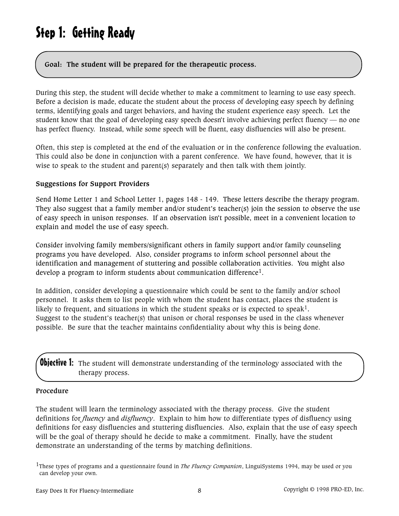# Step 1: Getting Ready

**Goal: The student will be prepared for the therapeutic process.**

During this step, the student will decide whether to make a commitment to learning to use easy speech. Before a decision is made, educate the student about the process of developing easy speech by defining terms, identifying goals and target behaviors, and having the student experience easy speech. Let the student know that the goal of developing easy speech doesn't involve achieving perfect fluency — no one has perfect fluency. Instead, while some speech will be fluent, easy disfluencies will also be present.

Often, this step is completed at the end of the evaluation or in the conference following the evaluation. This could also be done in conjunction with a parent conference. We have found, however, that it is wise to speak to the student and parent(s) separately and then talk with them jointly.

#### **Suggestions for Support Providers**

Send Home Letter 1 and School Letter 1, pages 148 - 149. These letters describe the therapy program. They also suggest that a family member and/or student's teacher(s) join the session to observe the use of easy speech in unison responses. If an observation isn't possible, meet in a convenient location to explain and model the use of easy speech.

Consider involving family members/significant others in family support and/or family counseling programs you have developed. Also, consider programs to inform school personnel about the identification and management of stuttering and possible collaboration activities. You might also develop a program to inform students about communication difference1.

In addition, consider developing a questionnaire which could be sent to the family and/or school personnel. It asks them to list people with whom the student has contact, places the student is likely to frequent, and situations in which the student speaks or is expected to speak<sup>1</sup>. Suggest to the student's teacher(s) that unison or choral responses be used in the class whenever possible. Be sure that the teacher maintains confidentiality about why this is being done.

**Objective 1:** The student will demonstrate understanding of the terminology associated with the therapy process.

#### **Procedure**

The student will learn the terminology associated with the therapy process. Give the student definitions for *fluency* and *disfluency*. Explain to him how to differentiate types of disfluency using definitions for easy disfluencies and stuttering disfluencies. Also, explain that the use of easy speech will be the goal of therapy should he decide to make a commitment. Finally, have the student demonstrate an understanding of the terms by matching definitions.

1These types of programs and a questionnaire found in *The Fluency Companion*, LinguiSystems 1994, may be used or you can develop your own.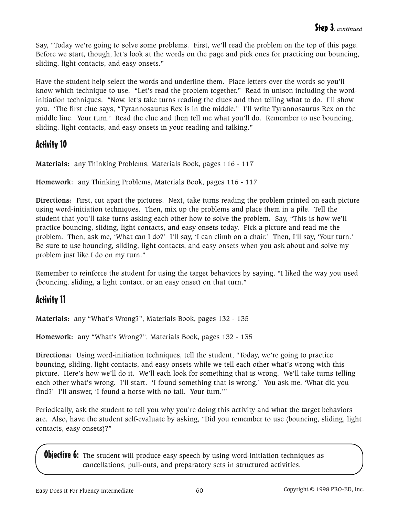Say, "Today we're going to solve some problems. First, we'll read the problem on the top of this page. Before we start, though, let's look at the words on the page and pick ones for practicing our bouncing, sliding, light contacts, and easy onsets."

Have the student help select the words and underline them. Place letters over the words so you'll know which technique to use. "Let's read the problem together." Read in unison including the wordinitiation techniques. "Now, let's take turns reading the clues and then telling what to do. I'll show you. 'The first clue says, "Tyrannosaurus Rex is in the middle." I'll write Tyrannosaurus Rex on the middle line. Your turn.' Read the clue and then tell me what you'll do. Remember to use bouncing, sliding, light contacts, and easy onsets in your reading and talking."

## Activity 10

**Materials:** any Thinking Problems, Materials Book, pages 116 - 117

**Homework:** any Thinking Problems, Materials Book, pages 116 - 117

**Directions:** First, cut apart the pictures. Next, take turns reading the problem printed on each picture using word-initiation techniques. Then, mix up the problems and place them in a pile. Tell the student that you'll take turns asking each other how to solve the problem. Say, "This is how we'll practice bouncing, sliding, light contacts, and easy onsets today. Pick a picture and read me the problem. Then, ask me, 'What can I do?' I'll say, 'I can climb on a chair.' Then, I'll say, 'Your turn.' Be sure to use bouncing, sliding, light contacts, and easy onsets when you ask about and solve my problem just like I do on my turn."

Remember to reinforce the student for using the target behaviors by saying, "I liked the way you used (bouncing, sliding, a light contact, or an easy onset) on that turn."

## Activity 11

**Materials:** any "What's Wrong?", Materials Book, pages 132 - 135

**Homework:** any "What's Wrong?", Materials Book, pages 132 - 135

**Directions:** Using word-initiation techniques, tell the student, "Today, we're going to practice bouncing, sliding, light contacts, and easy onsets while we tell each other what's wrong with this picture. Here's how we'll do it. We'll each look for something that is wrong. We'll take turns telling each other what's wrong. I'll start. 'I found something that is wrong.' You ask me, 'What did you find?' I'll answer, 'I found a horse with no tail. Your turn.'"

Periodically, ask the student to tell you why you're doing this activity and what the target behaviors are. Also, have the student self-evaluate by asking, "Did you remember to use (bouncing, sliding, light contacts, easy onsets)?"

**Objective 6:** The student will produce easy speech by using word-initiation techniques as cancellations, pull-outs, and preparatory sets in structured activities.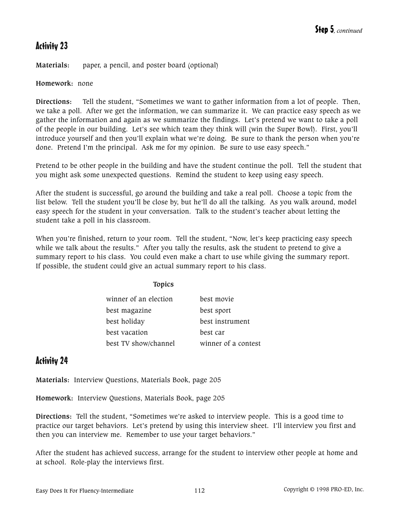## Activity 23

**Materials:** paper, a pencil, and poster board (optional)

**Homework:** none

**Directions:** Tell the student, "Sometimes we want to gather information from a lot of people. Then, we take a poll. After we get the information, we can summarize it. We can practice easy speech as we gather the information and again as we summarize the findings. Let's pretend we want to take a poll of the people in our building. Let's see which team they think will (win the Super Bowl). First, you'll introduce yourself and then you'll explain what we're doing. Be sure to thank the person when you're done. Pretend I'm the principal. Ask me for my opinion. Be sure to use easy speech."

Pretend to be other people in the building and have the student continue the poll. Tell the student that you might ask some unexpected questions. Remind the student to keep using easy speech.

After the student is successful, go around the building and take a real poll. Choose a topic from the list below. Tell the student you'll be close by, but he'll do all the talking. As you walk around, model easy speech for the student in your conversation. Talk to the student's teacher about letting the student take a poll in his classroom.

When you're finished, return to your room. Tell the student, "Now, let's keep practicing easy speech while we talk about the results." After you tally the results, ask the student to pretend to give a summary report to his class. You could even make a chart to use while giving the summary report. If possible, the student could give an actual summary report to his class.

#### **Topics**

| winner of an election | best movie          |
|-----------------------|---------------------|
| best magazine         | best sport          |
| best holiday          | best instrument     |
| best vacation         | best car            |
| best TV show/channel  | winner of a contest |

#### Activity 24

**Materials:** Interview Questions, Materials Book, page 205

**Homework:** Interview Questions, Materials Book, page 205

**Directions:** Tell the student, "Sometimes we're asked to interview people. This is a good time to practice our target behaviors. Let's pretend by using this interview sheet. I'll interview you first and then you can interview me. Remember to use your target behaviors."

After the student has achieved success, arrange for the student to interview other people at home and at school. Role-play the interviews first.